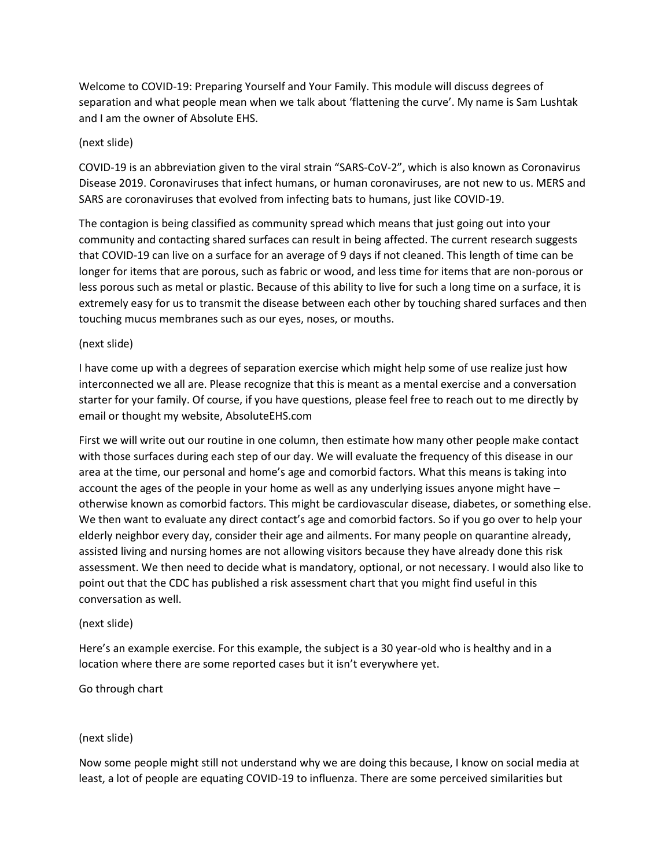Welcome to COVID-19: Preparing Yourself and Your Family. This module will discuss degrees of separation and what people mean when we talk about 'flattening the curve'. My name is Sam Lushtak and I am the owner of Absolute EHS.

## (next slide)

COVID-19 is an abbreviation given to the viral strain "SARS-CoV-2", which is also known as Coronavirus Disease 2019. Coronaviruses that infect humans, or human coronaviruses, are not new to us. MERS and SARS are coronaviruses that evolved from infecting bats to humans, just like COVID-19.

The contagion is being classified as community spread which means that just going out into your community and contacting shared surfaces can result in being affected. The current research suggests that COVID-19 can live on a surface for an average of 9 days if not cleaned. This length of time can be longer for items that are porous, such as fabric or wood, and less time for items that are non-porous or less porous such as metal or plastic. Because of this ability to live for such a long time on a surface, it is extremely easy for us to transmit the disease between each other by touching shared surfaces and then touching mucus membranes such as our eyes, noses, or mouths.

# (next slide)

I have come up with a degrees of separation exercise which might help some of use realize just how interconnected we all are. Please recognize that this is meant as a mental exercise and a conversation starter for your family. Of course, if you have questions, please feel free to reach out to me directly by email or thought my website, AbsoluteEHS.com

First we will write out our routine in one column, then estimate how many other people make contact with those surfaces during each step of our day. We will evaluate the frequency of this disease in our area at the time, our personal and home's age and comorbid factors. What this means is taking into account the ages of the people in your home as well as any underlying issues anyone might have – otherwise known as comorbid factors. This might be cardiovascular disease, diabetes, or something else. We then want to evaluate any direct contact's age and comorbid factors. So if you go over to help your elderly neighbor every day, consider their age and ailments. For many people on quarantine already, assisted living and nursing homes are not allowing visitors because they have already done this risk assessment. We then need to decide what is mandatory, optional, or not necessary. I would also like to point out that the CDC has published a risk assessment chart that you might find useful in this conversation as well.

## (next slide)

Here's an example exercise. For this example, the subject is a 30 year-old who is healthy and in a location where there are some reported cases but it isn't everywhere yet.

Go through chart

## (next slide)

Now some people might still not understand why we are doing this because, I know on social media at least, a lot of people are equating COVID-19 to influenza. There are some perceived similarities but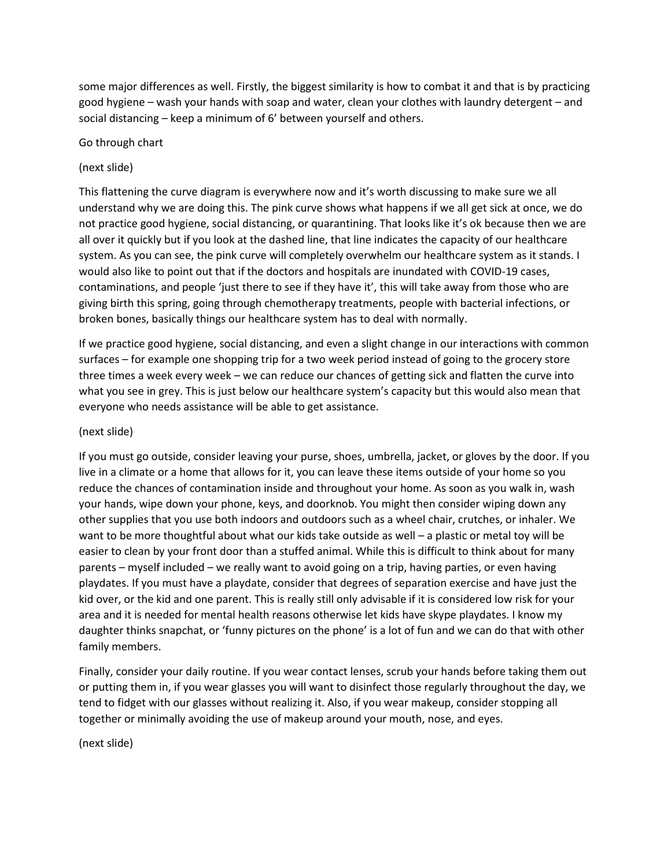some major differences as well. Firstly, the biggest similarity is how to combat it and that is by practicing good hygiene – wash your hands with soap and water, clean your clothes with laundry detergent – and social distancing – keep a minimum of 6' between yourself and others.

#### Go through chart

#### (next slide)

This flattening the curve diagram is everywhere now and it's worth discussing to make sure we all understand why we are doing this. The pink curve shows what happens if we all get sick at once, we do not practice good hygiene, social distancing, or quarantining. That looks like it's ok because then we are all over it quickly but if you look at the dashed line, that line indicates the capacity of our healthcare system. As you can see, the pink curve will completely overwhelm our healthcare system as it stands. I would also like to point out that if the doctors and hospitals are inundated with COVID-19 cases, contaminations, and people 'just there to see if they have it', this will take away from those who are giving birth this spring, going through chemotherapy treatments, people with bacterial infections, or broken bones, basically things our healthcare system has to deal with normally.

If we practice good hygiene, social distancing, and even a slight change in our interactions with common surfaces – for example one shopping trip for a two week period instead of going to the grocery store three times a week every week – we can reduce our chances of getting sick and flatten the curve into what you see in grey. This is just below our healthcare system's capacity but this would also mean that everyone who needs assistance will be able to get assistance.

#### (next slide)

If you must go outside, consider leaving your purse, shoes, umbrella, jacket, or gloves by the door. If you live in a climate or a home that allows for it, you can leave these items outside of your home so you reduce the chances of contamination inside and throughout your home. As soon as you walk in, wash your hands, wipe down your phone, keys, and doorknob. You might then consider wiping down any other supplies that you use both indoors and outdoors such as a wheel chair, crutches, or inhaler. We want to be more thoughtful about what our kids take outside as well - a plastic or metal toy will be easier to clean by your front door than a stuffed animal. While this is difficult to think about for many parents – myself included – we really want to avoid going on a trip, having parties, or even having playdates. If you must have a playdate, consider that degrees of separation exercise and have just the kid over, or the kid and one parent. This is really still only advisable if it is considered low risk for your area and it is needed for mental health reasons otherwise let kids have skype playdates. I know my daughter thinks snapchat, or 'funny pictures on the phone' is a lot of fun and we can do that with other family members.

Finally, consider your daily routine. If you wear contact lenses, scrub your hands before taking them out or putting them in, if you wear glasses you will want to disinfect those regularly throughout the day, we tend to fidget with our glasses without realizing it. Also, if you wear makeup, consider stopping all together or minimally avoiding the use of makeup around your mouth, nose, and eyes.

(next slide)